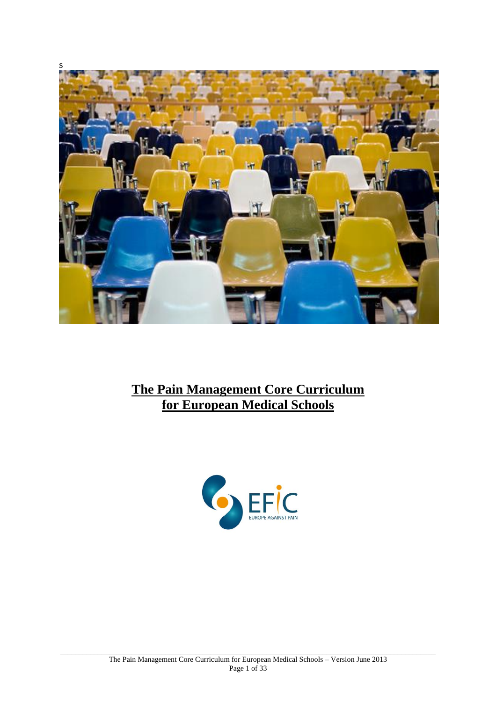

# **The Pain Management Core Curriculum for European Medical Schools**

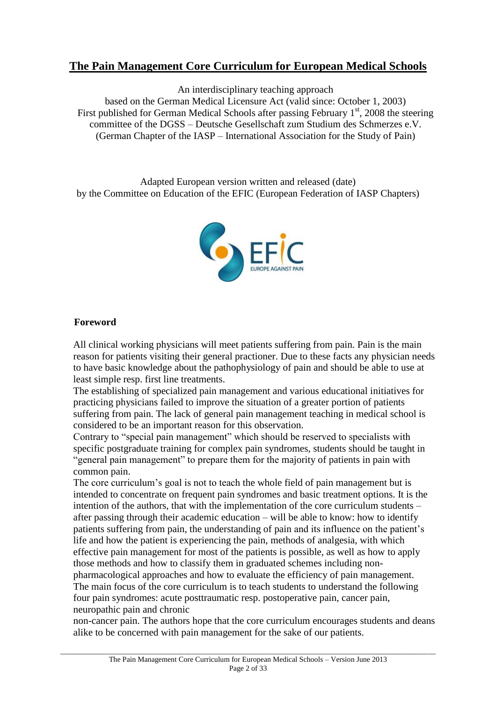# **The Pain Management Core Curriculum for European Medical Schools**

An interdisciplinary teaching approach

based on the German Medical Licensure Act (valid since: October 1, 2003) First published for German Medical Schools after passing February  $1<sup>st</sup>$ , 2008 the steering committee of the DGSS – Deutsche Gesellschaft zum Studium des Schmerzes e.V. (German Chapter of the IASP – International Association for the Study of Pain)

Adapted European version written and released (date) by the Committee on Education of the EFIC (European Federation of IASP Chapters)



#### **Foreword**

All clinical working physicians will meet patients suffering from pain. Pain is the main reason for patients visiting their general practioner. Due to these facts any physician needs to have basic knowledge about the pathophysiology of pain and should be able to use at least simple resp. first line treatments.

The establishing of specialized pain management and various educational initiatives for practicing physicians failed to improve the situation of a greater portion of patients suffering from pain. The lack of general pain management teaching in medical school is considered to be an important reason for this observation.

Contrary to "special pain management" which should be reserved to specialists with specific postgraduate training for complex pain syndromes, students should be taught in "general pain management" to prepare them for the majority of patients in pain with common pain.

The core curriculum's goal is not to teach the whole field of pain management but is intended to concentrate on frequent pain syndromes and basic treatment options. It is the intention of the authors, that with the implementation of the core curriculum students – after passing through their academic education – will be able to know: how to identify patients suffering from pain, the understanding of pain and its influence on the patient's life and how the patient is experiencing the pain, methods of analgesia, with which effective pain management for most of the patients is possible, as well as how to apply those methods and how to classify them in graduated schemes including nonpharmacological approaches and how to evaluate the efficiency of pain management.

The main focus of the core curriculum is to teach students to understand the following four pain syndromes: acute posttraumatic resp. postoperative pain, cancer pain, neuropathic pain and chronic

non-cancer pain. The authors hope that the core curriculum encourages students and deans alike to be concerned with pain management for the sake of our patients.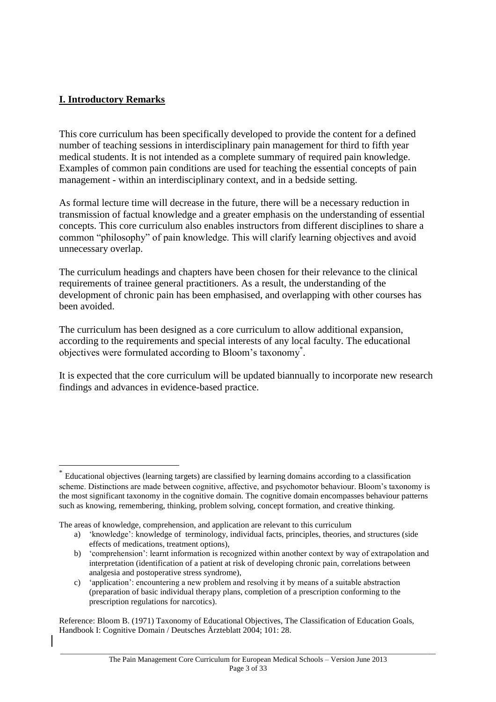## **I. Introductory Remarks**

 $\overline{a}$ 

This core curriculum has been specifically developed to provide the content for a defined number of teaching sessions in interdisciplinary pain management for third to fifth year medical students. It is not intended as a complete summary of required pain knowledge. Examples of common pain conditions are used for teaching the essential concepts of pain management - within an interdisciplinary context, and in a bedside setting.

As formal lecture time will decrease in the future, there will be a necessary reduction in transmission of factual knowledge and a greater emphasis on the understanding of essential concepts. This core curriculum also enables instructors from different disciplines to share a common "philosophy" of pain knowledge. This will clarify learning objectives and avoid unnecessary overlap.

The curriculum headings and chapters have been chosen for their relevance to the clinical requirements of trainee general practitioners. As a result, the understanding of the development of chronic pain has been emphasised, and overlapping with other courses has been avoided.

The curriculum has been designed as a core curriculum to allow additional expansion, according to the requirements and special interests of any local faculty. The educational objectives were formulated according to Bloom's taxonomy\* .

It is expected that the core curriculum will be updated biannually to incorporate new research findings and advances in evidence-based practice.

Reference: Bloom B. (1971) Taxonomy of Educational Objectives, The Classification of Education Goals, Handbook I: Cognitive Domain / Deutsches Ärzteblatt 2004; 101: 28.

<sup>\*</sup> Educational objectives (learning targets) are classified by learning domains according to a classification scheme. Distinctions are made between cognitive, affective, and psychomotor behaviour. Bloom's taxonomy is the most significant taxonomy in the cognitive domain. The cognitive domain encompasses behaviour patterns such as knowing, remembering, thinking, problem solving, concept formation, and creative thinking.

The areas of knowledge, comprehension, and application are relevant to this curriculum

a) 'knowledge': knowledge of terminology, individual facts, principles, theories, and structures (side effects of medications, treatment options),

b) 'comprehension': learnt information is recognized within another context by way of extrapolation and interpretation (identification of a patient at risk of developing chronic pain, correlations between analgesia and postoperative stress syndrome),

c) 'application': encountering a new problem and resolving it by means of a suitable abstraction (preparation of basic individual therapy plans, completion of a prescription conforming to the prescription regulations for narcotics).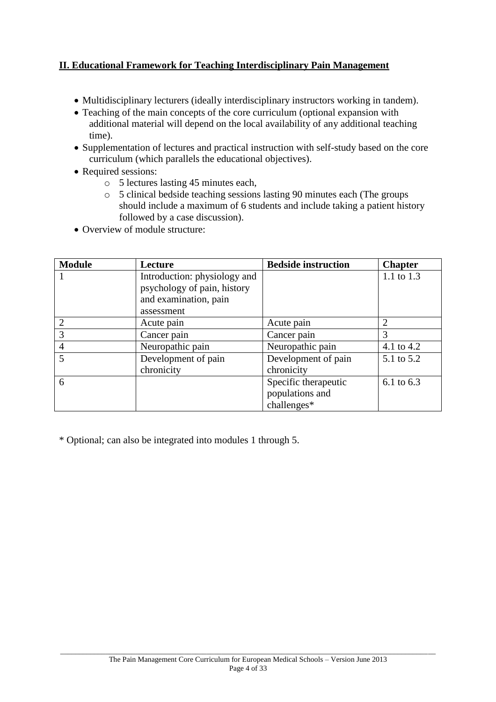## **II. Educational Framework for Teaching Interdisciplinary Pain Management**

- Multidisciplinary lecturers (ideally interdisciplinary instructors working in tandem).
- Teaching of the main concepts of the core curriculum (optional expansion with additional material will depend on the local availability of any additional teaching time).
- Supplementation of lectures and practical instruction with self-study based on the core curriculum (which parallels the educational objectives).
- Required sessions:
	- o 5 lectures lasting 45 minutes each,
	- o 5 clinical bedside teaching sessions lasting 90 minutes each (The groups should include a maximum of 6 students and include taking a patient history followed by a case discussion).
- Overview of module structure:

| <b>Module</b> | Lecture                      | <b>Bedside instruction</b> | <b>Chapter</b> |
|---------------|------------------------------|----------------------------|----------------|
|               | Introduction: physiology and |                            | 1.1 to 1.3     |
|               | psychology of pain, history  |                            |                |
|               | and examination, pain        |                            |                |
|               | assessment                   |                            |                |
|               | Acute pain                   | Acute pain                 | 2              |
| 3             | Cancer pain                  | Cancer pain                | 3              |
| 4             | Neuropathic pain             | Neuropathic pain           | 4.1 to 4.2     |
| 5             | Development of pain          | Development of pain        | 5.1 to 5.2     |
|               | chronicity                   | chronicity                 |                |
| 6             |                              | Specific therapeutic       | 6.1 to 6.3     |
|               |                              | populations and            |                |
|               |                              | challenges*                |                |

\* Optional; can also be integrated into modules 1 through 5.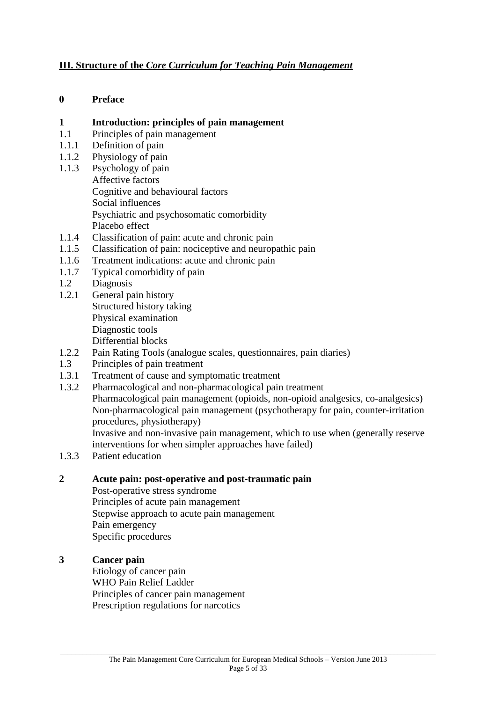#### **III. Structure of the** *Core Curriculum for Teaching Pain Management*

#### **0 Preface**

# **1 1 Introduction: principles of pain management**<br>**1.1** Principles of pain management

- Principles of pain management
- 1.1.1 Definition of pain
- 1.1.2 Physiology of pain
- 1.1.3 Psychology of pain Affective factors Cognitive and behavioural factors Social influences Psychiatric and psychosomatic comorbidity Placebo effect
- 1.1.4 Classification of pain: acute and chronic pain
- 1.1.5 Classification of pain: nociceptive and neuropathic pain
- 1.1.6 Treatment indications: acute and chronic pain
- 1.1.7 Typical comorbidity of pain
- 1.2 Diagnosis
- 1.2.1 General pain history Structured history taking Physical examination Diagnostic tools Differential blocks
- 1.2.2 Pain Rating Tools (analogue scales, questionnaires, pain diaries)
- 1.3 Principles of pain treatment
- 1.3.1 Treatment of cause and symptomatic treatment
- 1.3.2 Pharmacological and non-pharmacological pain treatment Pharmacological pain management (opioids, non-opioid analgesics, co-analgesics) Non-pharmacological pain management (psychotherapy for pain, counter-irritation procedures, physiotherapy) Invasive and non-invasive pain management, which to use when (generally reserve interventions for when simpler approaches have failed)
- 1.3.3 Patient education

#### **2 Acute pain: post-operative and post-traumatic pain**

Post-operative stress syndrome Principles of acute pain management Stepwise approach to acute pain management Pain emergency Specific procedures

#### **3 Cancer pain**

Etiology of cancer pain WHO Pain Relief Ladder Principles of cancer pain management Prescription regulations for narcotics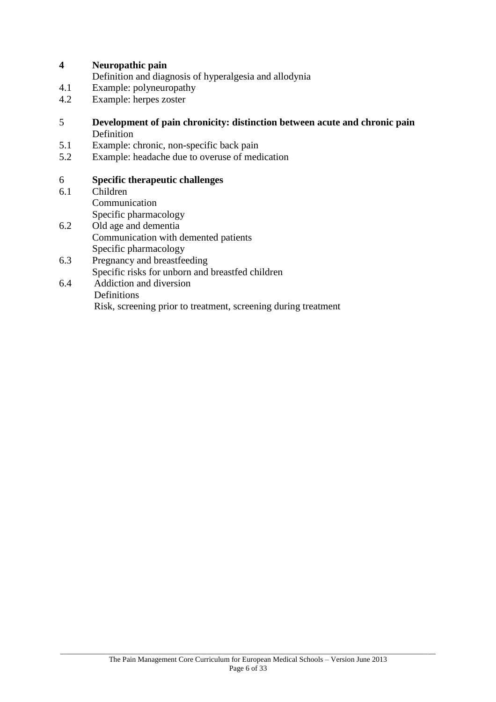#### **4 Neuropathic pain**

Definition and diagnosis of hyperalgesia and allodynia

- 4.1 Example: polyneuropathy<br>4.2 Example: herpes zoster
- Example: herpes zoster

#### 5 **Development of pain chronicity: distinction between acute and chronic pain Definition**

- 5.1 Example: chronic, non-specific back pain
- 5.2 Example: headache due to overuse of medication

# 6 **Specific therapeutic challenges**

- Children Communication Specific pharmacology
- 6.2 Old age and dementia Communication with demented patients Specific pharmacology
- 6.3 Pregnancy and breastfeeding Specific risks for unborn and breastfed children
- 6.4 Addiction and diversion Definitions Risk, screening prior to treatment, screening during treatment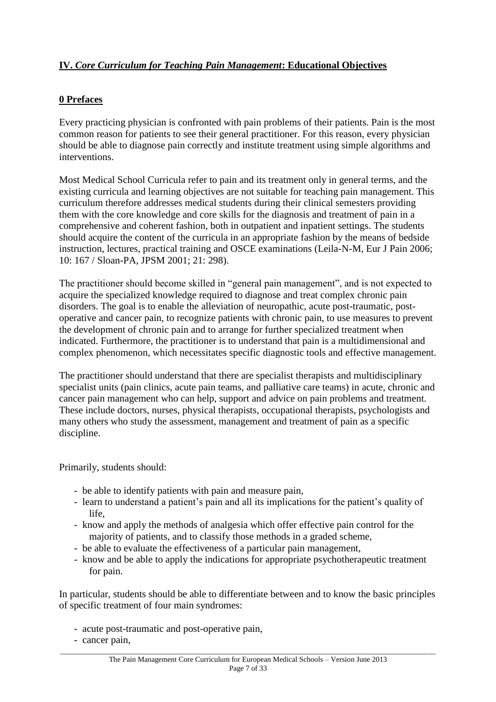## **IV.** *Core Curriculum for Teaching Pain Management***: Educational Objectives**

#### **0 Prefaces**

Every practicing physician is confronted with pain problems of their patients. Pain is the most common reason for patients to see their general practitioner. For this reason, every physician should be able to diagnose pain correctly and institute treatment using simple algorithms and interventions.

Most Medical School Curricula refer to pain and its treatment only in general terms, and the existing curricula and learning objectives are not suitable for teaching pain management. This curriculum therefore addresses medical students during their clinical semesters providing them with the core knowledge and core skills for the diagnosis and treatment of pain in a comprehensive and coherent fashion, both in outpatient and inpatient settings. The students should acquire the content of the curricula in an appropriate fashion by the means of bedside instruction, lectures, practical training and OSCE examinations (Leila-N-M, Eur J Pain 2006; 10: 167 / Sloan-PA, JPSM 2001; 21: 298).

The practitioner should become skilled in "general pain management", and is not expected to acquire the specialized knowledge required to diagnose and treat complex chronic pain disorders. The goal is to enable the alleviation of neuropathic, acute post-traumatic, postoperative and cancer pain, to recognize patients with chronic pain, to use measures to prevent the development of chronic pain and to arrange for further specialized treatment when indicated. Furthermore, the practitioner is to understand that pain is a multidimensional and complex phenomenon, which necessitates specific diagnostic tools and effective management.

The practitioner should understand that there are specialist therapists and multidisciplinary specialist units (pain clinics, acute pain teams, and palliative care teams) in acute, chronic and cancer pain management who can help, support and advice on pain problems and treatment. These include doctors, nurses, physical therapists, occupational therapists, psychologists and many others who study the assessment, management and treatment of pain as a specific discipline.

Primarily, students should:

- be able to identify patients with pain and measure pain,
- learn to understand a patient's pain and all its implications for the patient's quality of life,
- know and apply the methods of analgesia which offer effective pain control for the majority of patients, and to classify those methods in a graded scheme,
- be able to evaluate the effectiveness of a particular pain management,
- know and be able to apply the indications for appropriate psychotherapeutic treatment for pain.

In particular, students should be able to differentiate between and to know the basic principles of specific treatment of four main syndromes:

- acute post-traumatic and post-operative pain,
- cancer pain,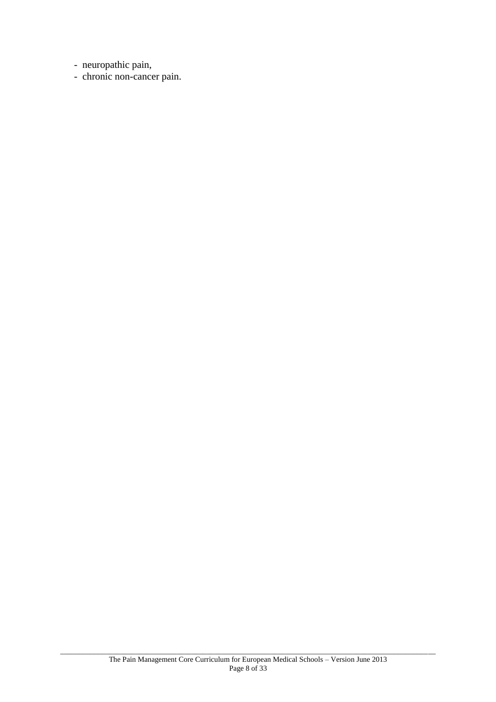- neuropathic pain,

- chronic non-cancer pain.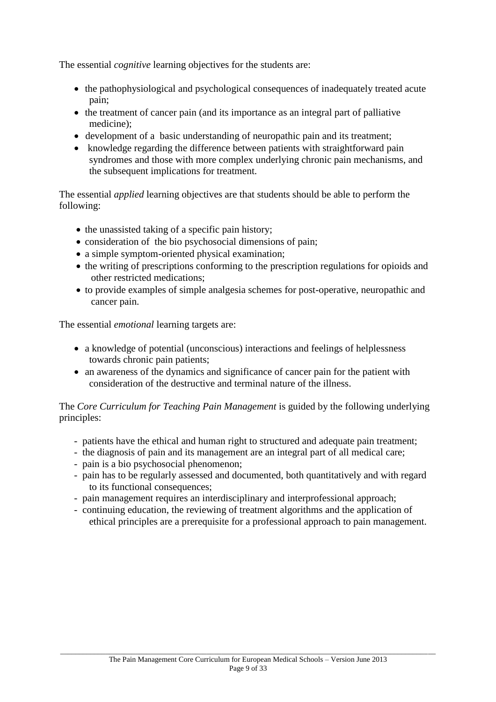The essential *cognitive* learning objectives for the students are:

- the pathophysiological and psychological consequences of inadequately treated acute pain;
- the treatment of cancer pain (and its importance as an integral part of palliative medicine);
- development of a basic understanding of neuropathic pain and its treatment;
- knowledge regarding the difference between patients with straightforward pain syndromes and those with more complex underlying chronic pain mechanisms, and the subsequent implications for treatment.

The essential *applied* learning objectives are that students should be able to perform the following:

- $\bullet$  the unassisted taking of a specific pain history;
- consideration of the bio psychosocial dimensions of pain;
- a simple symptom-oriented physical examination;
- the writing of prescriptions conforming to the prescription regulations for opioids and other restricted medications;
- to provide examples of simple analgesia schemes for post-operative, neuropathic and cancer pain.

The essential *emotional* learning targets are:

- a knowledge of potential (unconscious) interactions and feelings of helplessness towards chronic pain patients;
- an awareness of the dynamics and significance of cancer pain for the patient with consideration of the destructive and terminal nature of the illness.

The *Core Curriculum for Teaching Pain Management* is guided by the following underlying principles:

- patients have the ethical and human right to structured and adequate pain treatment;
- the diagnosis of pain and its management are an integral part of all medical care;
- pain is a bio psychosocial phenomenon;
- pain has to be regularly assessed and documented, both quantitatively and with regard to its functional consequences;
- pain management requires an interdisciplinary and interprofessional approach;
- continuing education, the reviewing of treatment algorithms and the application of ethical principles are a prerequisite for a professional approach to pain management.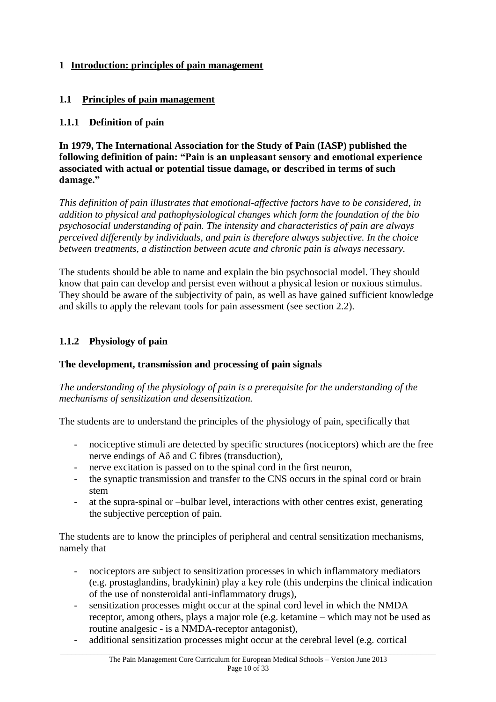## **1 Introduction: principles of pain management**

#### **1.1 Principles of pain management**

#### **1.1.1 Definition of pain**

**In 1979, The International Association for the Study of Pain (IASP) published the following definition of pain: "Pain is an unpleasant sensory and emotional experience associated with actual or potential tissue damage, or described in terms of such damage."**

*This definition of pain illustrates that emotional-affective factors have to be considered, in addition to physical and pathophysiological changes which form the foundation of the bio psychosocial understanding of pain. The intensity and characteristics of pain are always perceived differently by individuals, and pain is therefore always subjective. In the choice between treatments, a distinction between acute and chronic pain is always necessary.*

The students should be able to name and explain the bio psychosocial model. They should know that pain can develop and persist even without a physical lesion or noxious stimulus. They should be aware of the subjectivity of pain, as well as have gained sufficient knowledge and skills to apply the relevant tools for pain assessment (see section 2.2).

#### **1.1.2 Physiology of pain**

#### **The development, transmission and processing of pain signals**

*The understanding of the physiology of pain is a prerequisite for the understanding of the mechanisms of sensitization and desensitization.*

The students are to understand the principles of the physiology of pain, specifically that

- nociceptive stimuli are detected by specific structures (nociceptors) which are the free nerve endings of  $A\delta$  and C fibres (transduction),
- nerve excitation is passed on to the spinal cord in the first neuron,
- the synaptic transmission and transfer to the CNS occurs in the spinal cord or brain stem
- at the supra-spinal or –bulbar level, interactions with other centres exist, generating the subjective perception of pain.

The students are to know the principles of peripheral and central sensitization mechanisms, namely that

- nociceptors are subject to sensitization processes in which inflammatory mediators (e.g. prostaglandins, bradykinin) play a key role (this underpins the clinical indication of the use of nonsteroidal anti-inflammatory drugs),
- sensitization processes might occur at the spinal cord level in which the NMDA receptor, among others, plays a major role (e.g. ketamine – which may not be used as routine analgesic - is a NMDA-receptor antagonist),
- additional sensitization processes might occur at the cerebral level (e.g. cortical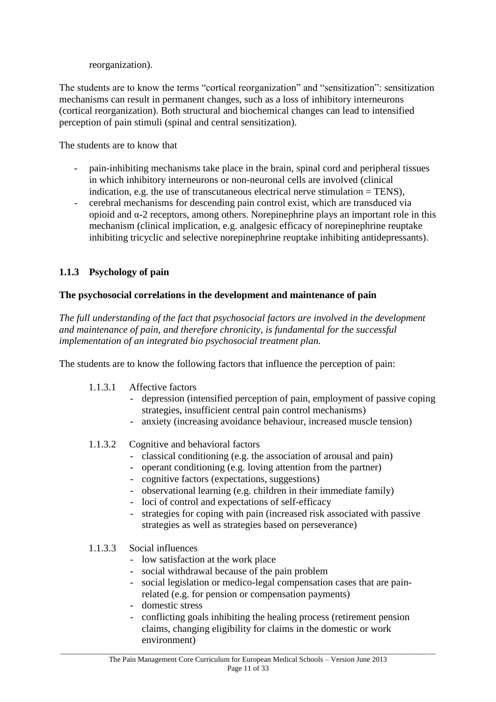reorganization).

The students are to know the terms "cortical reorganization" and "sensitization": sensitization mechanisms can result in permanent changes, such as a loss of inhibitory interneurons (cortical reorganization). Both structural and biochemical changes can lead to intensified perception of pain stimuli (spinal and central sensitization).

The students are to know that

- pain-inhibiting mechanisms take place in the brain, spinal cord and peripheral tissues in which inhibitory interneurons or non-neuronal cells are involved (clinical indication, e.g. the use of transcutaneous electrical nerve stimulation  $=$  TENS),
- cerebral mechanisms for descending pain control exist, which are transduced via opioid and α-2 receptors, among others. Norepinephrine plays an important role in this mechanism (clinical implication, e.g. analgesic efficacy of norepinephrine reuptake inhibiting tricyclic and selective norepinephrine reuptake inhibiting antidepressants).

## **1.1.3 Psychology of pain**

#### **The psychosocial correlations in the development and maintenance of pain**

*The full understanding of the fact that psychosocial factors are involved in the development and maintenance of pain, and therefore chronicity, is fundamental for the successful implementation of an integrated bio psychosocial treatment plan.*

The students are to know the following factors that influence the perception of pain:

#### 1.1.3.1 Affective factors

- depression (intensified perception of pain, employment of passive coping strategies, insufficient central pain control mechanisms)
- anxiety (increasing avoidance behaviour, increased muscle tension)
- 1.1.3.2 Cognitive and behavioral factors
	- classical conditioning (e.g. the association of arousal and pain)
	- operant conditioning (e.g. loving attention from the partner)
	- cognitive factors (expectations, suggestions)
	- observational learning (e.g. children in their immediate family)
	- loci of control and expectations of self-efficacy
	- strategies for coping with pain (increased risk associated with passive strategies as well as strategies based on perseverance)

#### 1.1.3.3 Social influences

- low satisfaction at the work place
- social withdrawal because of the pain problem
- social legislation or medico-legal compensation cases that are painrelated (e.g. for pension or compensation payments)
- domestic stress
- conflicting goals inhibiting the healing process (retirement pension claims, changing eligibility for claims in the domestic or work environment)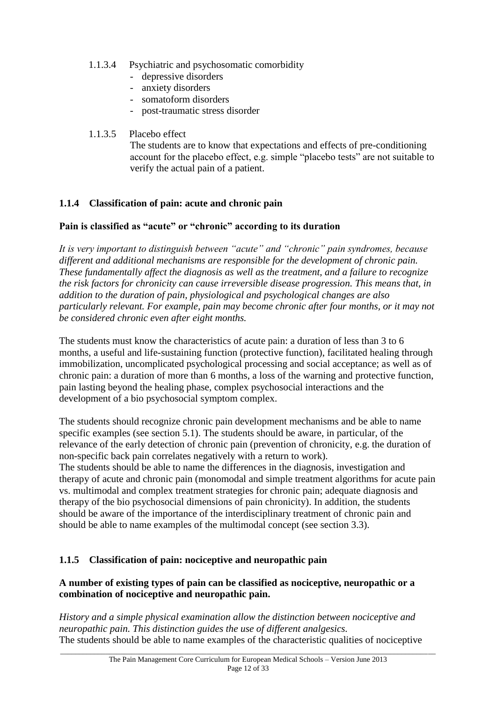- 1.1.3.4 Psychiatric and psychosomatic comorbidity
	- depressive disorders
	- anxiety disorders
	- somatoform disorders
	- post-traumatic stress disorder

#### 1.1.3.5 Placebo effect

The students are to know that expectations and effects of pre-conditioning account for the placebo effect, e.g. simple "placebo tests" are not suitable to verify the actual pain of a patient.

## **1.1.4 Classification of pain: acute and chronic pain**

#### **Pain is classified as "acute" or "chronic" according to its duration**

*It is very important to distinguish between "acute" and "chronic" pain syndromes, because different and additional mechanisms are responsible for the development of chronic pain. These fundamentally affect the diagnosis as well as the treatment, and a failure to recognize the risk factors for chronicity can cause irreversible disease progression. This means that, in addition to the duration of pain, physiological and psychological changes are also particularly relevant. For example, pain may become chronic after four months, or it may not be considered chronic even after eight months.*

The students must know the characteristics of acute pain: a duration of less than 3 to 6 months, a useful and life-sustaining function (protective function), facilitated healing through immobilization, uncomplicated psychological processing and social acceptance; as well as of chronic pain: a duration of more than 6 months, a loss of the warning and protective function, pain lasting beyond the healing phase, complex psychosocial interactions and the development of a bio psychosocial symptom complex.

The students should recognize chronic pain development mechanisms and be able to name specific examples (see section 5.1). The students should be aware, in particular, of the relevance of the early detection of chronic pain (prevention of chronicity, e.g. the duration of non-specific back pain correlates negatively with a return to work).

The students should be able to name the differences in the diagnosis, investigation and therapy of acute and chronic pain (monomodal and simple treatment algorithms for acute pain vs. multimodal and complex treatment strategies for chronic pain; adequate diagnosis and therapy of the bio psychosocial dimensions of pain chronicity). In addition, the students should be aware of the importance of the interdisciplinary treatment of chronic pain and should be able to name examples of the multimodal concept (see section 3.3).

#### **1.1.5 Classification of pain: nociceptive and neuropathic pain**

#### **A number of existing types of pain can be classified as nociceptive, neuropathic or a combination of nociceptive and neuropathic pain.**

*History and a simple physical examination allow the distinction between nociceptive and neuropathic pain. This distinction guides the use of different analgesics.* The students should be able to name examples of the characteristic qualities of nociceptive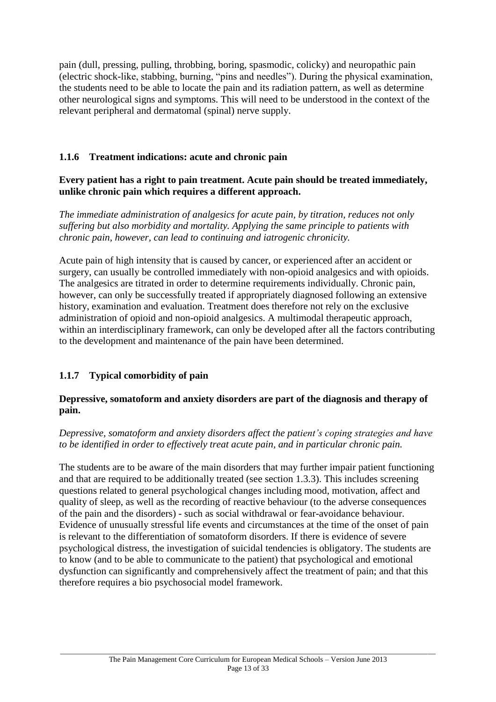pain (dull, pressing, pulling, throbbing, boring, spasmodic, colicky) and neuropathic pain (electric shock-like, stabbing, burning, "pins and needles"). During the physical examination, the students need to be able to locate the pain and its radiation pattern, as well as determine other neurological signs and symptoms. This will need to be understood in the context of the relevant peripheral and dermatomal (spinal) nerve supply.

## **1.1.6 Treatment indications: acute and chronic pain**

#### **Every patient has a right to pain treatment. Acute pain should be treated immediately, unlike chronic pain which requires a different approach.**

*The immediate administration of analgesics for acute pain, by titration, reduces not only suffering but also morbidity and mortality. Applying the same principle to patients with chronic pain, however, can lead to continuing and iatrogenic chronicity.*

Acute pain of high intensity that is caused by cancer, or experienced after an accident or surgery, can usually be controlled immediately with non-opioid analgesics and with opioids. The analgesics are titrated in order to determine requirements individually. Chronic pain, however, can only be successfully treated if appropriately diagnosed following an extensive history, examination and evaluation. Treatment does therefore not rely on the exclusive administration of opioid and non-opioid analgesics. A multimodal therapeutic approach, within an interdisciplinary framework, can only be developed after all the factors contributing to the development and maintenance of the pain have been determined.

# **1.1.7 Typical comorbidity of pain**

#### **Depressive, somatoform and anxiety disorders are part of the diagnosis and therapy of pain.**

*Depressive, somatoform and anxiety disorders affect the patient's coping strategies and have to be identified in order to effectively treat acute pain, and in particular chronic pain.*

The students are to be aware of the main disorders that may further impair patient functioning and that are required to be additionally treated (see section 1.3.3). This includes screening questions related to general psychological changes including mood, motivation, affect and quality of sleep, as well as the recording of reactive behaviour (to the adverse consequences of the pain and the disorders) - such as social withdrawal or fear-avoidance behaviour. Evidence of unusually stressful life events and circumstances at the time of the onset of pain is relevant to the differentiation of somatoform disorders. If there is evidence of severe psychological distress, the investigation of suicidal tendencies is obligatory. The students are to know (and to be able to communicate to the patient) that psychological and emotional dysfunction can significantly and comprehensively affect the treatment of pain; and that this therefore requires a bio psychosocial model framework.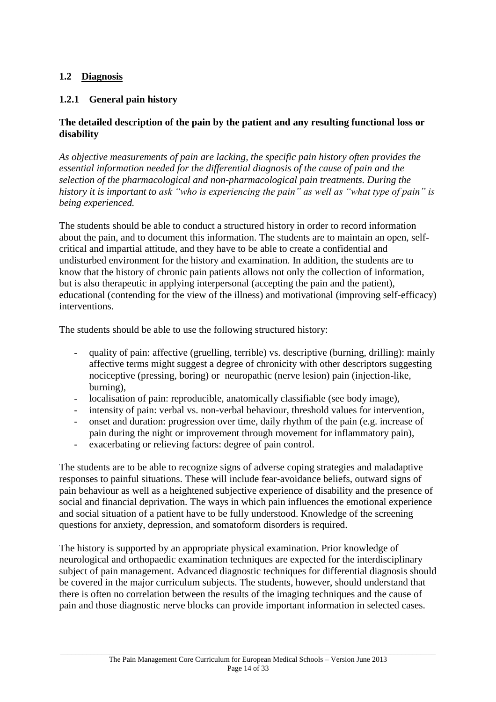#### **1.2 Diagnosis**

## **1.2.1 General pain history**

#### **The detailed description of the pain by the patient and any resulting functional loss or disability**

*As objective measurements of pain are lacking, the specific pain history often provides the essential information needed for the differential diagnosis of the cause of pain and the selection of the pharmacological and non-pharmacological pain treatments. During the history it is important to ask "who is experiencing the pain" as well as "what type of pain" is being experienced.*

The students should be able to conduct a structured history in order to record information about the pain, and to document this information. The students are to maintain an open, selfcritical and impartial attitude, and they have to be able to create a confidential and undisturbed environment for the history and examination. In addition, the students are to know that the history of chronic pain patients allows not only the collection of information, but is also therapeutic in applying interpersonal (accepting the pain and the patient), educational (contending for the view of the illness) and motivational (improving self-efficacy) interventions.

The students should be able to use the following structured history:

- quality of pain: affective (gruelling, terrible) vs. descriptive (burning, drilling): mainly affective terms might suggest a degree of chronicity with other descriptors suggesting nociceptive (pressing, boring) or neuropathic (nerve lesion) pain (injection-like, burning),
- localisation of pain: reproducible, anatomically classifiable (see body image),
- intensity of pain: verbal vs. non-verbal behaviour, threshold values for intervention,
- onset and duration: progression over time, daily rhythm of the pain (e.g. increase of pain during the night or improvement through movement for inflammatory pain),
- exacerbating or relieving factors: degree of pain control.

The students are to be able to recognize signs of adverse coping strategies and maladaptive responses to painful situations. These will include fear-avoidance beliefs, outward signs of pain behaviour as well as a heightened subjective experience of disability and the presence of social and financial deprivation. The ways in which pain influences the emotional experience and social situation of a patient have to be fully understood. Knowledge of the screening questions for anxiety, depression, and somatoform disorders is required.

The history is supported by an appropriate physical examination. Prior knowledge of neurological and orthopaedic examination techniques are expected for the interdisciplinary subject of pain management. Advanced diagnostic techniques for differential diagnosis should be covered in the major curriculum subjects. The students, however, should understand that there is often no correlation between the results of the imaging techniques and the cause of pain and those diagnostic nerve blocks can provide important information in selected cases.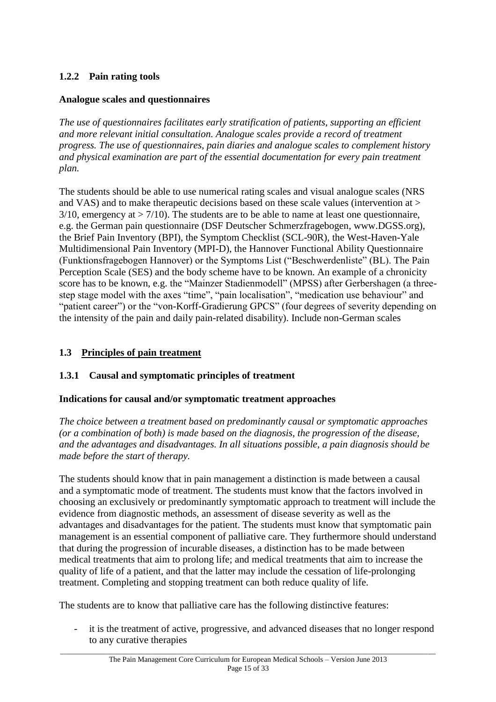## **1.2.2 Pain rating tools**

## **Analogue scales and questionnaires**

*The use of questionnaires facilitates early stratification of patients, supporting an efficient and more relevant initial consultation. Analogue scales provide a record of treatment progress. The use of questionnaires, pain diaries and analogue scales to complement history and physical examination are part of the essential documentation for every pain treatment plan.*

The students should be able to use numerical rating scales and visual analogue scales (NRS and VAS) and to make therapeutic decisions based on these scale values (intervention at >  $3/10$ , emergency at  $> 7/10$ ). The students are to be able to name at least one questionnaire, e.g. the German pain questionnaire (DSF Deutscher Schmerzfragebogen, www.DGSS.org), the Brief Pain Inventory (BPI), the Symptom Checklist (SCL-90R), the West-Haven-Yale Multidimensional Pain Inventory (MPI-D), the Hannover Functional Ability Questionnaire (Funktionsfragebogen Hannover) or the Symptoms List ("Beschwerdenliste" (BL). The Pain Perception Scale (SES) and the body scheme have to be known. An example of a chronicity score has to be known, e.g. the "Mainzer Stadienmodell" (MPSS) after Gerbershagen (a threestep stage model with the axes "time", "pain localisation", "medication use behaviour" and "patient career") or the "von-Korff-Gradierung GPCS" (four degrees of severity depending on the intensity of the pain and daily pain-related disability). Include non-German scales

## **1.3 Principles of pain treatment**

#### **1.3.1 Causal and symptomatic principles of treatment**

#### **Indications for causal and/or symptomatic treatment approaches**

*The choice between a treatment based on predominantly causal or symptomatic approaches (or a combination of both) is made based on the diagnosis, the progression of the disease, and the advantages and disadvantages. In all situations possible, a pain diagnosis should be made before the start of therapy.*

The students should know that in pain management a distinction is made between a causal and a symptomatic mode of treatment. The students must know that the factors involved in choosing an exclusively or predominantly symptomatic approach to treatment will include the evidence from diagnostic methods, an assessment of disease severity as well as the advantages and disadvantages for the patient. The students must know that symptomatic pain management is an essential component of palliative care. They furthermore should understand that during the progression of incurable diseases, a distinction has to be made between medical treatments that aim to prolong life; and medical treatments that aim to increase the quality of life of a patient, and that the latter may include the cessation of life-prolonging treatment. Completing and stopping treatment can both reduce quality of life.

The students are to know that palliative care has the following distinctive features:

- it is the treatment of active, progressive, and advanced diseases that no longer respond to any curative therapies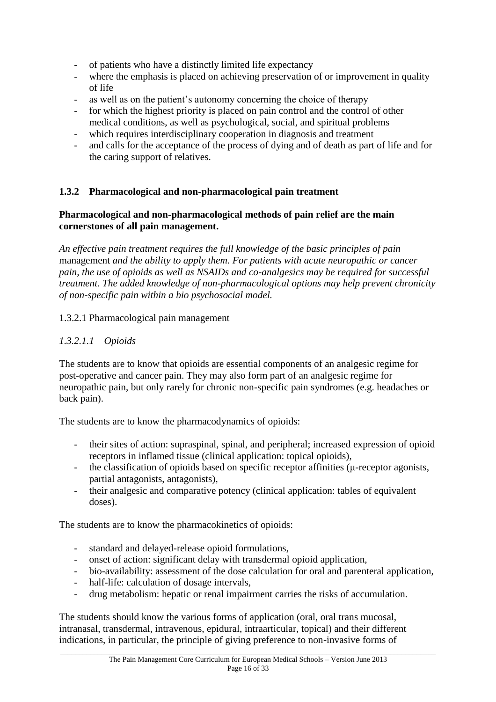- of patients who have a distinctly limited life expectancy
- where the emphasis is placed on achieving preservation of or improvement in quality of life
- as well as on the patient's autonomy concerning the choice of therapy
- for which the highest priority is placed on pain control and the control of other medical conditions, as well as psychological, social, and spiritual problems
- which requires interdisciplinary cooperation in diagnosis and treatment
- and calls for the acceptance of the process of dying and of death as part of life and for the caring support of relatives.

#### **1.3.2 Pharmacological and non-pharmacological pain treatment**

#### **Pharmacological and non-pharmacological methods of pain relief are the main cornerstones of all pain management.**

*An effective pain treatment requires the full knowledge of the basic principles of pain*  management *and the ability to apply them. For patients with acute neuropathic or cancer pain, the use of opioids as well as NSAIDs and co-analgesics may be required for successful treatment. The added knowledge of non-pharmacological options may help prevent chronicity of non-specific pain within a bio psychosocial model.*

#### 1.3.2.1 Pharmacological pain management

#### *1.3.2.1.1 Opioids*

The students are to know that opioids are essential components of an analgesic regime for post-operative and cancer pain. They may also form part of an analgesic regime for neuropathic pain, but only rarely for chronic non-specific pain syndromes (e.g. headaches or back pain).

The students are to know the pharmacodynamics of opioids:

- their sites of action: supraspinal, spinal, and peripheral; increased expression of opioid receptors in inflamed tissue (clinical application: topical opioids),
- the classification of opioids based on specific receptor affinities (μ-receptor agonists, partial antagonists, antagonists),
- their analgesic and comparative potency (clinical application: tables of equivalent doses).

The students are to know the pharmacokinetics of opioids:

- standard and delayed-release opioid formulations,
- onset of action: significant delay with transdermal opioid application,
- bio-availability: assessment of the dose calculation for oral and parenteral application,
- half-life: calculation of dosage intervals,
- drug metabolism: hepatic or renal impairment carries the risks of accumulation.

The students should know the various forms of application (oral, oral trans mucosal, intranasal, transdermal, intravenous, epidural, intraarticular, topical) and their different indications, in particular, the principle of giving preference to non-invasive forms of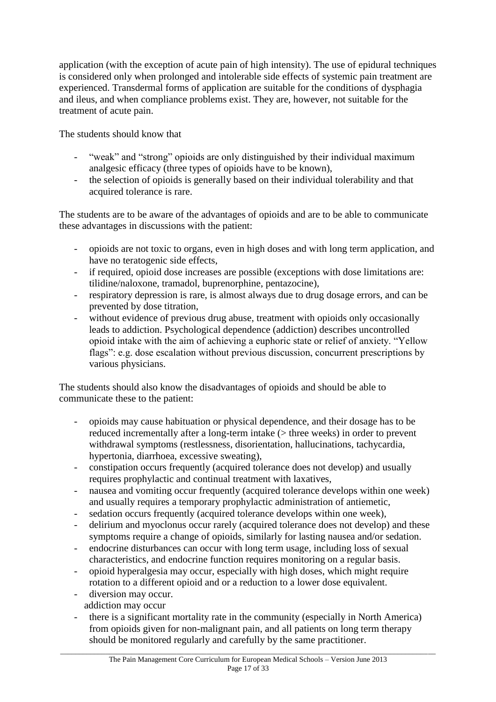application (with the exception of acute pain of high intensity). The use of epidural techniques is considered only when prolonged and intolerable side effects of systemic pain treatment are experienced. Transdermal forms of application are suitable for the conditions of dysphagia and ileus, and when compliance problems exist. They are, however, not suitable for the treatment of acute pain.

The students should know that

- "weak" and "strong" opioids are only distinguished by their individual maximum analgesic efficacy (three types of opioids have to be known),
- the selection of opioids is generally based on their individual tolerability and that acquired tolerance is rare.

The students are to be aware of the advantages of opioids and are to be able to communicate these advantages in discussions with the patient:

- opioids are not toxic to organs, even in high doses and with long term application, and have no teratogenic side effects,
- if required, opioid dose increases are possible (exceptions with dose limitations are: tilidine/naloxone, tramadol, buprenorphine, pentazocine),
- respiratory depression is rare, is almost always due to drug dosage errors, and can be prevented by dose titration,
- without evidence of previous drug abuse, treatment with opioids only occasionally leads to addiction. Psychological dependence (addiction) describes uncontrolled opioid intake with the aim of achieving a euphoric state or relief of anxiety. "Yellow flags": e.g. dose escalation without previous discussion, concurrent prescriptions by various physicians.

The students should also know the disadvantages of opioids and should be able to communicate these to the patient:

- opioids may cause habituation or physical dependence, and their dosage has to be reduced incrementally after a long-term intake (> three weeks) in order to prevent withdrawal symptoms (restlessness, disorientation, hallucinations, tachycardia, hypertonia, diarrhoea, excessive sweating),
- constipation occurs frequently (acquired tolerance does not develop) and usually requires prophylactic and continual treatment with laxatives,
- nausea and vomiting occur frequently (acquired tolerance develops within one week) and usually requires a temporary prophylactic administration of antiemetic,
- sedation occurs frequently (acquired tolerance develops within one week),
- delirium and myoclonus occur rarely (acquired tolerance does not develop) and these symptoms require a change of opioids, similarly for lasting nausea and/or sedation.
- endocrine disturbances can occur with long term usage, including loss of sexual characteristics, and endocrine function requires monitoring on a regular basis.
- opioid hyperalgesia may occur, especially with high doses, which might require rotation to a different opioid and or a reduction to a lower dose equivalent.
- diversion may occur.
- addiction may occur
- there is a significant mortality rate in the community (especially in North America) from opioids given for non-malignant pain, and all patients on long term therapy should be monitored regularly and carefully by the same practitioner.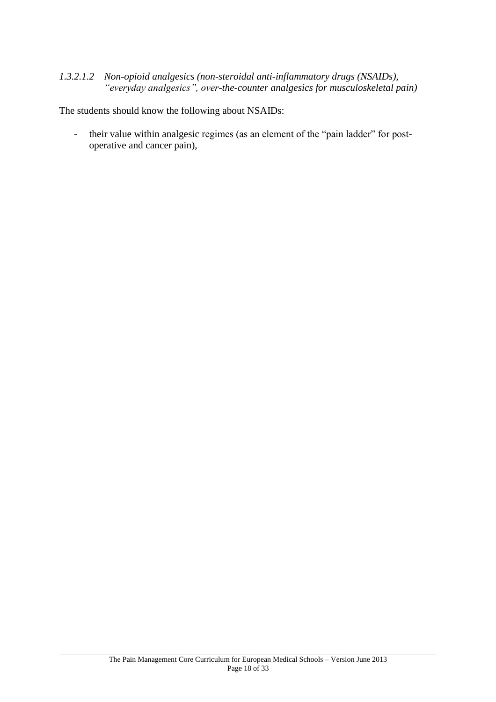#### *1.3.2.1.2 Non-opioid analgesics (non-steroidal anti-inflammatory drugs (NSAIDs), "everyday analgesics", over-the-counter analgesics for musculoskeletal pain)*

The students should know the following about NSAIDs:

- their value within analgesic regimes (as an element of the "pain ladder" for postoperative and cancer pain),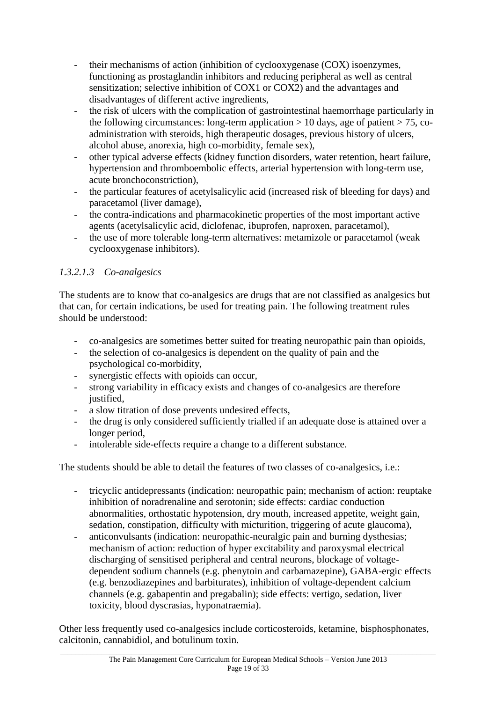- their mechanisms of action (inhibition of cyclooxygenase (COX) isoenzymes, functioning as prostaglandin inhibitors and reducing peripheral as well as central sensitization; selective inhibition of COX1 or COX2) and the advantages and disadvantages of different active ingredients,
- the risk of ulcers with the complication of gastrointestinal haemorrhage particularly in the following circumstances: long-term application  $> 10$  days, age of patient  $> 75$ , coadministration with steroids, high therapeutic dosages, previous history of ulcers, alcohol abuse, anorexia, high co-morbidity, female sex),
- other typical adverse effects (kidney function disorders, water retention, heart failure, hypertension and thromboembolic effects, arterial hypertension with long-term use, acute bronchoconstriction),
- the particular features of acetylsalicylic acid (increased risk of bleeding for days) and paracetamol (liver damage),
- the contra-indications and pharmacokinetic properties of the most important active agents (acetylsalicylic acid, diclofenac, ibuprofen, naproxen, paracetamol),
- the use of more tolerable long-term alternatives: metamizole or paracetamol (weak cyclooxygenase inhibitors).

# *1.3.2.1.3 Co-analgesics*

The students are to know that co-analgesics are drugs that are not classified as analgesics but that can, for certain indications, be used for treating pain. The following treatment rules should be understood:

- co-analgesics are sometimes better suited for treating neuropathic pain than opioids,
- the selection of co-analgesics is dependent on the quality of pain and the psychological co-morbidity,
- synergistic effects with opioids can occur,
- strong variability in efficacy exists and changes of co-analgesics are therefore justified.
- a slow titration of dose prevents undesired effects,
- the drug is only considered sufficiently trialled if an adequate dose is attained over a longer period,
- intolerable side-effects require a change to a different substance.

The students should be able to detail the features of two classes of co-analgesics, i.e.:

- tricyclic antidepressants (indication: neuropathic pain; mechanism of action: reuptake inhibition of noradrenaline and serotonin; side effects: cardiac conduction abnormalities, orthostatic hypotension, dry mouth, increased appetite, weight gain, sedation, constipation, difficulty with micturition, triggering of acute glaucoma),
- anticonvulsants (indication: neuropathic-neuralgic pain and burning dysthesias; mechanism of action: reduction of hyper excitability and paroxysmal electrical discharging of sensitised peripheral and central neurons, blockage of voltagedependent sodium channels (e.g. phenytoin and carbamazepine), GABA-ergic effects (e.g. benzodiazepines and barbiturates), inhibition of voltage-dependent calcium channels (e.g. gabapentin and pregabalin); side effects: vertigo, sedation, liver toxicity, blood dyscrasias, hyponatraemia).

Other less frequently used co-analgesics include corticosteroids, ketamine, bisphosphonates, calcitonin, cannabidiol, and botulinum toxin.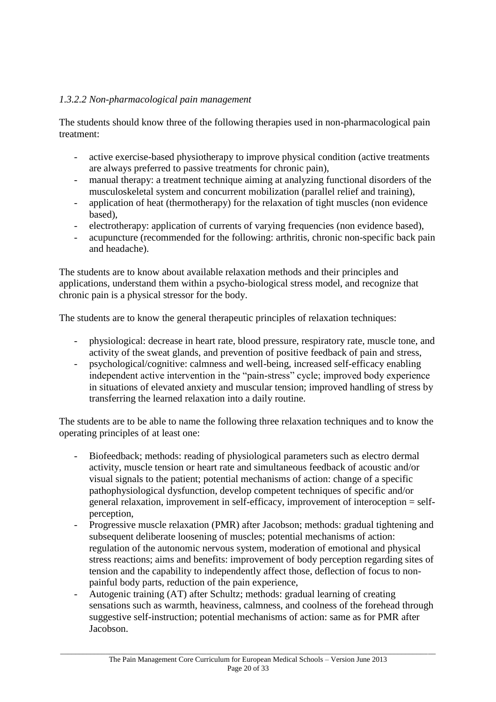#### *1.3.2.2 Non-pharmacological pain management*

The students should know three of the following therapies used in non-pharmacological pain treatment:

- active exercise-based physiotherapy to improve physical condition (active treatments are always preferred to passive treatments for chronic pain),
- manual therapy: a treatment technique aiming at analyzing functional disorders of the musculoskeletal system and concurrent mobilization (parallel relief and training),
- application of heat (thermotherapy) for the relaxation of tight muscles (non evidence based),
- electrotherapy: application of currents of varying frequencies (non evidence based),
- acupuncture (recommended for the following: arthritis, chronic non-specific back pain and headache).

The students are to know about available relaxation methods and their principles and applications, understand them within a psycho-biological stress model, and recognize that chronic pain is a physical stressor for the body.

The students are to know the general therapeutic principles of relaxation techniques:

- physiological: decrease in heart rate, blood pressure, respiratory rate, muscle tone, and activity of the sweat glands, and prevention of positive feedback of pain and stress,
- psychological/cognitive: calmness and well-being, increased self-efficacy enabling independent active intervention in the "pain-stress" cycle; improved body experience in situations of elevated anxiety and muscular tension; improved handling of stress by transferring the learned relaxation into a daily routine.

The students are to be able to name the following three relaxation techniques and to know the operating principles of at least one:

- Biofeedback; methods: reading of physiological parameters such as electro dermal activity, muscle tension or heart rate and simultaneous feedback of acoustic and/or visual signals to the patient; potential mechanisms of action: change of a specific pathophysiological dysfunction, develop competent techniques of specific and/or general relaxation, improvement in self-efficacy, improvement of interoception = selfperception,
- Progressive muscle relaxation (PMR) after Jacobson; methods: gradual tightening and subsequent deliberate loosening of muscles; potential mechanisms of action: regulation of the autonomic nervous system, moderation of emotional and physical stress reactions; aims and benefits: improvement of body perception regarding sites of tension and the capability to independently affect those, deflection of focus to nonpainful body parts, reduction of the pain experience,
- Autogenic training (AT) after Schultz; methods: gradual learning of creating sensations such as warmth, heaviness, calmness, and coolness of the forehead through suggestive self-instruction; potential mechanisms of action: same as for PMR after Jacobson.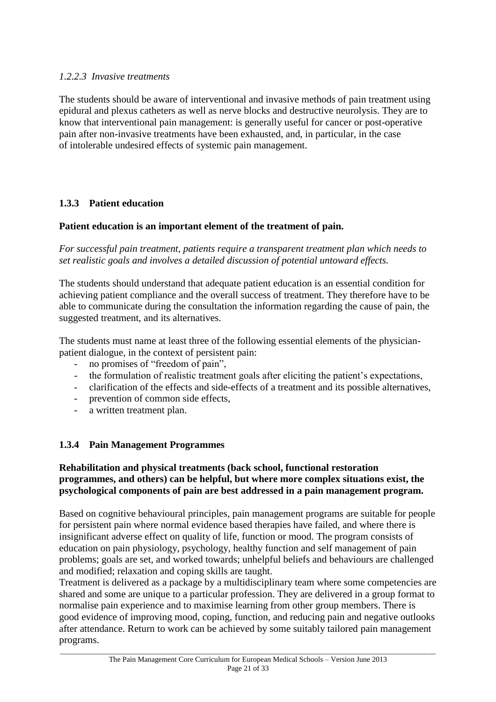#### *1.2.2.3 Invasive treatments*

The students should be aware of interventional and invasive methods of pain treatment using epidural and plexus catheters as well as nerve blocks and destructive neurolysis. They are to know that interventional pain management: is generally useful for cancer or post-operative pain after non-invasive treatments have been exhausted, and, in particular, in the case of intolerable undesired effects of systemic pain management.

#### **1.3.3 Patient education**

#### **Patient education is an important element of the treatment of pain.**

*For successful pain treatment, patients require a transparent treatment plan which needs to set realistic goals and involves a detailed discussion of potential untoward effects.*

The students should understand that adequate patient education is an essential condition for achieving patient compliance and the overall success of treatment. They therefore have to be able to communicate during the consultation the information regarding the cause of pain, the suggested treatment, and its alternatives.

The students must name at least three of the following essential elements of the physicianpatient dialogue, in the context of persistent pain:

- no promises of "freedom of pain",
- the formulation of realistic treatment goals after eliciting the patient's expectations,
- clarification of the effects and side-effects of a treatment and its possible alternatives,
- prevention of common side effects,
- a written treatment plan.

#### **1.3.4 Pain Management Programmes**

#### **Rehabilitation and physical treatments (back school, functional restoration programmes, and others) can be helpful, but where more complex situations exist, the psychological components of pain are best addressed in a pain management program.**

Based on cognitive behavioural principles, pain management programs are suitable for people for persistent pain where normal evidence based therapies have failed, and where there is insignificant adverse effect on quality of life, function or mood. The program consists of education on pain physiology, psychology, healthy function and self management of pain problems; goals are set, and worked towards; unhelpful beliefs and behaviours are challenged and modified; relaxation and coping skills are taught.

Treatment is delivered as a package by a multidisciplinary team where some competencies are shared and some are unique to a particular profession. They are delivered in a group format to normalise pain experience and to maximise learning from other group members. There is good evidence of improving mood, coping, function, and reducing pain and negative outlooks after attendance. Return to work can be achieved by some suitably tailored pain management programs.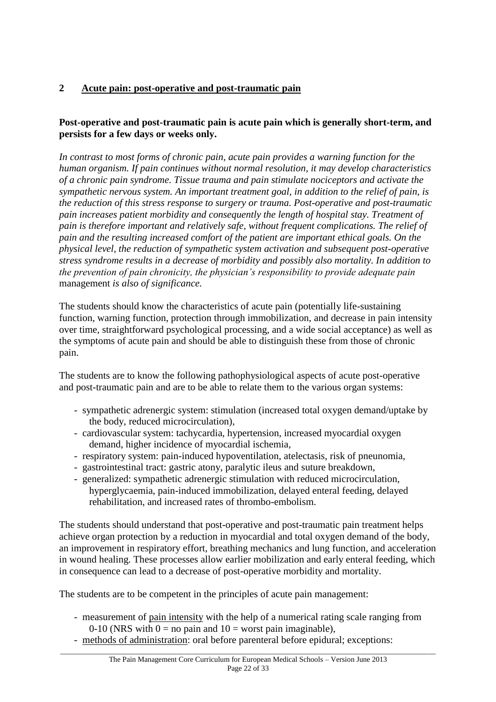# **2 Acute pain: post-operative and post-traumatic pain**

## **Post-operative and post-traumatic pain is acute pain which is generally short-term, and persists for a few days or weeks only.**

*In contrast to most forms of chronic pain, acute pain provides a warning function for the human organism. If pain continues without normal resolution, it may develop characteristics of a chronic pain syndrome. Tissue trauma and pain stimulate nociceptors and activate the sympathetic nervous system. An important treatment goal, in addition to the relief of pain, is the reduction of this stress response to surgery or trauma. Post-operative and post-traumatic pain increases patient morbidity and consequently the length of hospital stay. Treatment of pain is therefore important and relatively safe, without frequent complications. The relief of pain and the resulting increased comfort of the patient are important ethical goals. On the physical level, the reduction of sympathetic system activation and subsequent post-operative stress syndrome results in a decrease of morbidity and possibly also mortality. In addition to the prevention of pain chronicity, the physician's responsibility to provide adequate pain*  management *is also of significance.*

The students should know the characteristics of acute pain (potentially life-sustaining function, warning function, protection through immobilization, and decrease in pain intensity over time, straightforward psychological processing, and a wide social acceptance) as well as the symptoms of acute pain and should be able to distinguish these from those of chronic pain.

The students are to know the following pathophysiological aspects of acute post-operative and post-traumatic pain and are to be able to relate them to the various organ systems:

- sympathetic adrenergic system: stimulation (increased total oxygen demand/uptake by the body, reduced microcirculation),
- cardiovascular system: tachycardia, hypertension, increased myocardial oxygen demand, higher incidence of myocardial ischemia,
- respiratory system: pain-induced hypoventilation, atelectasis, risk of pneunomia,
- gastrointestinal tract: gastric atony, paralytic ileus and suture breakdown,
- generalized: sympathetic adrenergic stimulation with reduced microcirculation, hyperglycaemia, pain-induced immobilization, delayed enteral feeding, delayed rehabilitation, and increased rates of thrombo-embolism.

The students should understand that post-operative and post-traumatic pain treatment helps achieve organ protection by a reduction in myocardial and total oxygen demand of the body, an improvement in respiratory effort, breathing mechanics and lung function, and acceleration in wound healing. These processes allow earlier mobilization and early enteral feeding, which in consequence can lead to a decrease of post-operative morbidity and mortality.

The students are to be competent in the principles of acute pain management:

- measurement of pain intensity with the help of a numerical rating scale ranging from 0-10 (NRS with  $0 =$  no pain and  $10 =$  worst pain imaginable),
- methods of administration: oral before parenteral before epidural; exceptions: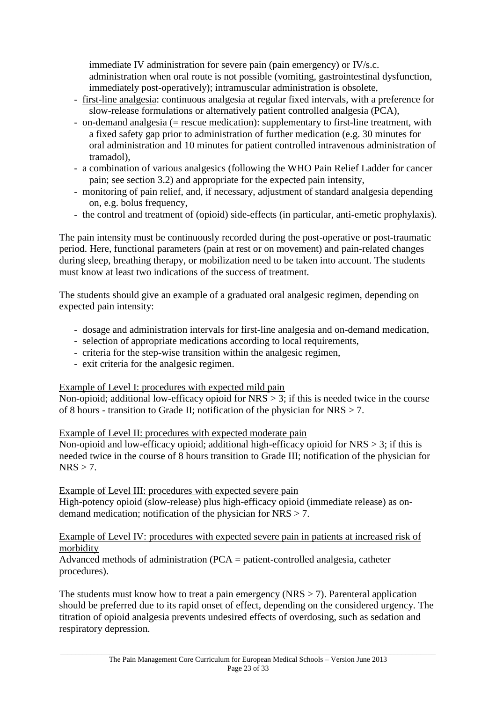immediate IV administration for severe pain (pain emergency) or IV/s.c. administration when oral route is not possible (vomiting, gastrointestinal dysfunction, immediately post-operatively); intramuscular administration is obsolete,

- first-line analgesia: continuous analgesia at regular fixed intervals, with a preference for slow-release formulations or alternatively patient controlled analgesia (PCA),
- on-demand analgesia (= rescue medication): supplementary to first-line treatment, with a fixed safety gap prior to administration of further medication (e.g. 30 minutes for oral administration and 10 minutes for patient controlled intravenous administration of tramadol),
- a combination of various analgesics (following the WHO Pain Relief Ladder for cancer pain; see section 3.2) and appropriate for the expected pain intensity,
- monitoring of pain relief, and, if necessary, adjustment of standard analgesia depending on, e.g. bolus frequency,
- the control and treatment of (opioid) side-effects (in particular, anti-emetic prophylaxis).

The pain intensity must be continuously recorded during the post-operative or post-traumatic period. Here, functional parameters (pain at rest or on movement) and pain-related changes during sleep, breathing therapy, or mobilization need to be taken into account. The students must know at least two indications of the success of treatment.

The students should give an example of a graduated oral analgesic regimen, depending on expected pain intensity:

- dosage and administration intervals for first-line analgesia and on-demand medication,
- selection of appropriate medications according to local requirements,
- criteria for the step-wise transition within the analgesic regimen,
- exit criteria for the analgesic regimen.

Example of Level I: procedures with expected mild pain

Non-opioid; additional low-efficacy opioid for  $NRS > 3$ ; if this is needed twice in the course of 8 hours - transition to Grade II; notification of the physician for NRS > 7.

#### Example of Level II: procedures with expected moderate pain

Non-opioid and low-efficacy opioid; additional high-efficacy opioid for  $NRS > 3$ ; if this is needed twice in the course of 8 hours transition to Grade III; notification of the physician for  $NRS > 7.$ 

Example of Level III: procedures with expected severe pain

High-potency opioid (slow-release) plus high-efficacy opioid (immediate release) as ondemand medication; notification of the physician for NRS > 7.

#### Example of Level IV: procedures with expected severe pain in patients at increased risk of morbidity

Advanced methods of administration (PCA = patient-controlled analgesia, catheter procedures).

The students must know how to treat a pain emergency ( $NRS > 7$ ). Parenteral application should be preferred due to its rapid onset of effect, depending on the considered urgency. The titration of opioid analgesia prevents undesired effects of overdosing, such as sedation and respiratory depression.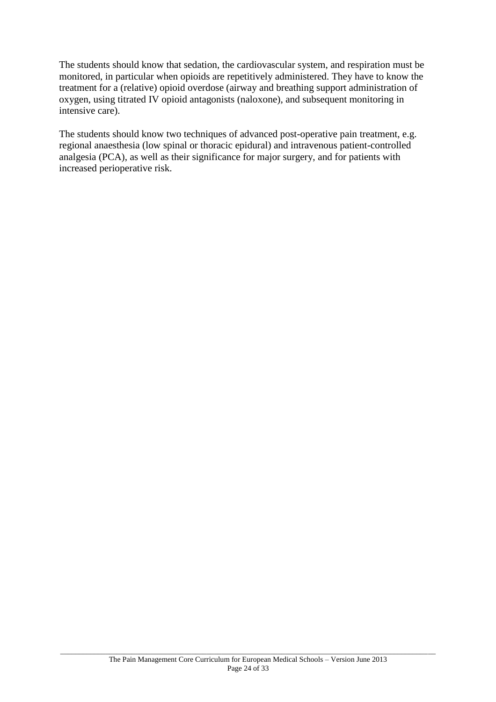The students should know that sedation, the cardiovascular system, and respiration must be monitored, in particular when opioids are repetitively administered. They have to know the treatment for a (relative) opioid overdose (airway and breathing support administration of oxygen, using titrated IV opioid antagonists (naloxone), and subsequent monitoring in intensive care).

The students should know two techniques of advanced post-operative pain treatment, e.g. regional anaesthesia (low spinal or thoracic epidural) and intravenous patient-controlled analgesia (PCA), as well as their significance for major surgery, and for patients with increased perioperative risk.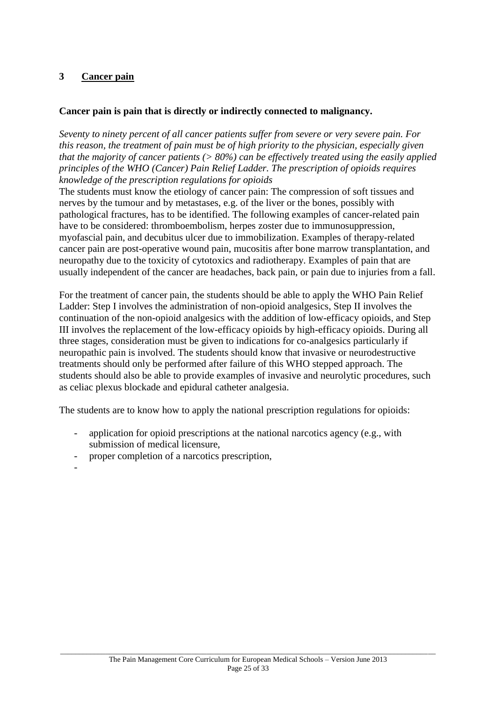#### **3 Cancer pain**

#### **Cancer pain is pain that is directly or indirectly connected to malignancy.**

*Seventy to ninety percent of all cancer patients suffer from severe or very severe pain. For this reason, the treatment of pain must be of high priority to the physician, especially given that the majority of cancer patients (> 80%) can be effectively treated using the easily applied principles of the WHO (Cancer) Pain Relief Ladder. The prescription of opioids requires knowledge of the prescription regulations for opioids*

The students must know the etiology of cancer pain: The compression of soft tissues and nerves by the tumour and by metastases, e.g. of the liver or the bones, possibly with pathological fractures, has to be identified. The following examples of cancer-related pain have to be considered: thromboembolism, herpes zoster due to immunosuppression, myofascial pain, and decubitus ulcer due to immobilization. Examples of therapy-related cancer pain are post-operative wound pain, mucositis after bone marrow transplantation, and neuropathy due to the toxicity of cytotoxics and radiotherapy. Examples of pain that are usually independent of the cancer are headaches, back pain, or pain due to injuries from a fall.

For the treatment of cancer pain, the students should be able to apply the WHO Pain Relief Ladder: Step I involves the administration of non-opioid analgesics, Step II involves the continuation of the non-opioid analgesics with the addition of low-efficacy opioids, and Step III involves the replacement of the low-efficacy opioids by high-efficacy opioids. During all three stages, consideration must be given to indications for co-analgesics particularly if neuropathic pain is involved. The students should know that invasive or neurodestructive treatments should only be performed after failure of this WHO stepped approach. The students should also be able to provide examples of invasive and neurolytic procedures, such as celiac plexus blockade and epidural catheter analgesia.

The students are to know how to apply the national prescription regulations for opioids:

- application for opioid prescriptions at the national narcotics agency (e.g., with submission of medical licensure,
- proper completion of a narcotics prescription,

-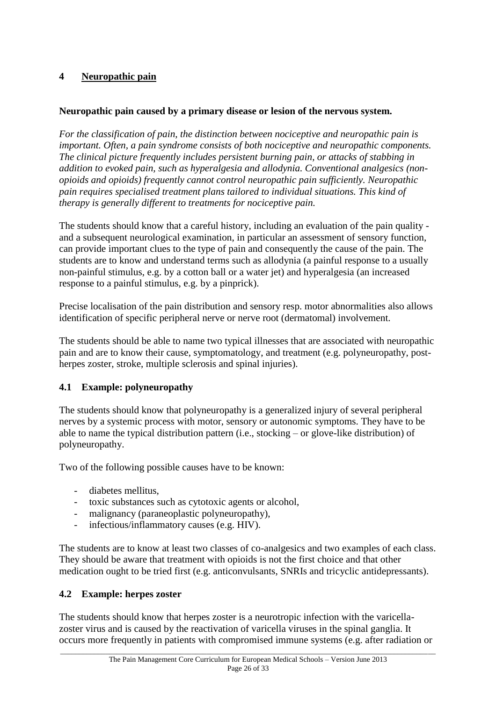# **4 Neuropathic pain**

## **Neuropathic pain caused by a primary disease or lesion of the nervous system.**

*For the classification of pain, the distinction between nociceptive and neuropathic pain is important. Often, a pain syndrome consists of both nociceptive and neuropathic components. The clinical picture frequently includes persistent burning pain, or attacks of stabbing in addition to evoked pain, such as hyperalgesia and allodynia. Conventional analgesics (nonopioids and opioids) frequently cannot control neuropathic pain sufficiently. Neuropathic pain requires specialised treatment plans tailored to individual situations. This kind of therapy is generally different to treatments for nociceptive pain.*

The students should know that a careful history, including an evaluation of the pain quality and a subsequent neurological examination, in particular an assessment of sensory function, can provide important clues to the type of pain and consequently the cause of the pain. The students are to know and understand terms such as allodynia (a painful response to a usually non-painful stimulus, e.g. by a cotton ball or a water jet) and hyperalgesia (an increased response to a painful stimulus, e.g. by a pinprick).

Precise localisation of the pain distribution and sensory resp. motor abnormalities also allows identification of specific peripheral nerve or nerve root (dermatomal) involvement.

The students should be able to name two typical illnesses that are associated with neuropathic pain and are to know their cause, symptomatology, and treatment (e.g. polyneuropathy, postherpes zoster, stroke, multiple sclerosis and spinal injuries).

# **4.1 Example: polyneuropathy**

The students should know that polyneuropathy is a generalized injury of several peripheral nerves by a systemic process with motor, sensory or autonomic symptoms. They have to be able to name the typical distribution pattern (i.e., stocking – or glove-like distribution) of polyneuropathy.

Two of the following possible causes have to be known:

- diabetes mellitus,
- toxic substances such as cytotoxic agents or alcohol,
- malignancy (paraneoplastic polyneuropathy),
- infectious/inflammatory causes (e.g. HIV).

The students are to know at least two classes of co-analgesics and two examples of each class. They should be aware that treatment with opioids is not the first choice and that other medication ought to be tried first (e.g. anticonvulsants, SNRIs and tricyclic antidepressants).

# **4.2 Example: herpes zoster**

The students should know that herpes zoster is a neurotropic infection with the varicellazoster virus and is caused by the reactivation of varicella viruses in the spinal ganglia. It occurs more frequently in patients with compromised immune systems (e.g. after radiation or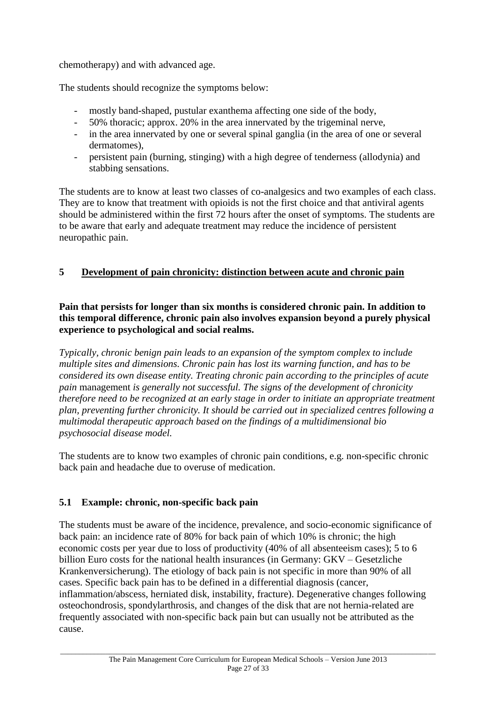chemotherapy) and with advanced age.

The students should recognize the symptoms below:

- mostly band-shaped, pustular exanthema affecting one side of the body,
- 50% thoracic; approx. 20% in the area innervated by the trigeminal nerve,
- in the area innervated by one or several spinal ganglia (in the area of one or several dermatomes),
- persistent pain (burning, stinging) with a high degree of tenderness (allodynia) and stabbing sensations.

The students are to know at least two classes of co-analgesics and two examples of each class. They are to know that treatment with opioids is not the first choice and that antiviral agents should be administered within the first 72 hours after the onset of symptoms. The students are to be aware that early and adequate treatment may reduce the incidence of persistent neuropathic pain.

# **5 Development of pain chronicity: distinction between acute and chronic pain**

**Pain that persists for longer than six months is considered chronic pain. In addition to this temporal difference, chronic pain also involves expansion beyond a purely physical experience to psychological and social realms.**

*Typically, chronic benign pain leads to an expansion of the symptom complex to include multiple sites and dimensions. Chronic pain has lost its warning function, and has to be considered its own disease entity. Treating chronic pain according to the principles of acute pain* management *is generally not successful. The signs of the development of chronicity therefore need to be recognized at an early stage in order to initiate an appropriate treatment plan, preventing further chronicity. It should be carried out in specialized centres following a multimodal therapeutic approach based on the findings of a multidimensional bio psychosocial disease model.*

The students are to know two examples of chronic pain conditions, e.g. non-specific chronic back pain and headache due to overuse of medication.

# **5.1 Example: chronic, non-specific back pain**

The students must be aware of the incidence, prevalence, and socio-economic significance of back pain: an incidence rate of 80% for back pain of which 10% is chronic; the high economic costs per year due to loss of productivity (40% of all absenteeism cases); 5 to 6 billion Euro costs for the national health insurances (in Germany: GKV – Gesetzliche Krankenversicherung). The etiology of back pain is not specific in more than 90% of all cases. Specific back pain has to be defined in a differential diagnosis (cancer, inflammation/abscess, herniated disk, instability, fracture). Degenerative changes following osteochondrosis, spondylarthrosis, and changes of the disk that are not hernia-related are frequently associated with non-specific back pain but can usually not be attributed as the cause.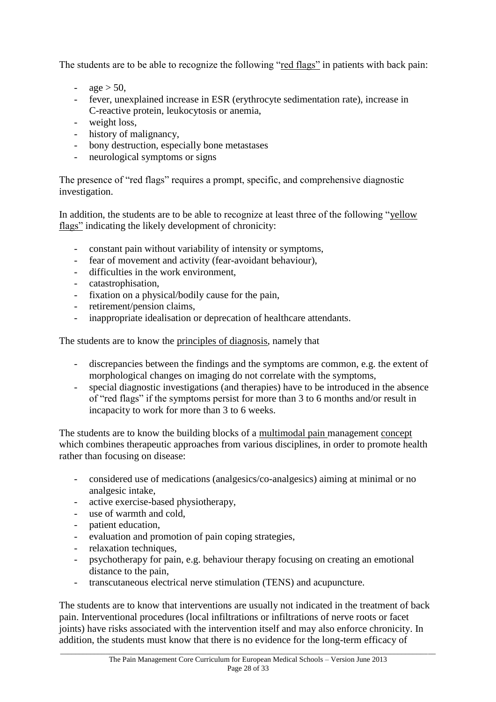The students are to be able to recognize the following "red flags" in patients with back pain:

- $\alpha$ ge > 50,
- fever, unexplained increase in ESR (erythrocyte sedimentation rate), increase in C-reactive protein, leukocytosis or anemia,
- weight loss,
- history of malignancy,
- bony destruction, especially bone metastases
- neurological symptoms or signs

The presence of "red flags" requires a prompt, specific, and comprehensive diagnostic investigation.

In addition, the students are to be able to recognize at least three of the following "yellow flags" indicating the likely development of chronicity:

- constant pain without variability of intensity or symptoms,
- fear of movement and activity (fear-avoidant behaviour),
- difficulties in the work environment,
- catastrophisation,
- fixation on a physical/bodily cause for the pain,
- retirement/pension claims,
- inappropriate idealisation or deprecation of healthcare attendants.

The students are to know the principles of diagnosis, namely that

- discrepancies between the findings and the symptoms are common, e.g. the extent of morphological changes on imaging do not correlate with the symptoms,
- special diagnostic investigations (and therapies) have to be introduced in the absence of "red flags" if the symptoms persist for more than 3 to 6 months and/or result in incapacity to work for more than 3 to 6 weeks.

The students are to know the building blocks of a multimodal pain management concept which combines therapeutic approaches from various disciplines, in order to promote health rather than focusing on disease:

- considered use of medications (analgesics/co-analgesics) aiming at minimal or no analgesic intake,
- active exercise-based physiotherapy,
- use of warmth and cold,
- patient education,
- evaluation and promotion of pain coping strategies,
- relaxation techniques,
- psychotherapy for pain, e.g. behaviour therapy focusing on creating an emotional distance to the pain,
- transcutaneous electrical nerve stimulation (TENS) and acupuncture.

The students are to know that interventions are usually not indicated in the treatment of back pain. Interventional procedures (local infiltrations or infiltrations of nerve roots or facet joints) have risks associated with the intervention itself and may also enforce chronicity. In addition, the students must know that there is no evidence for the long-term efficacy of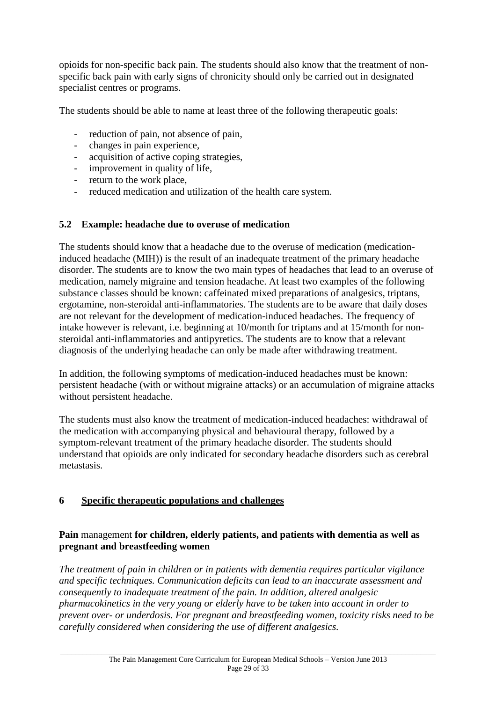opioids for non-specific back pain. The students should also know that the treatment of nonspecific back pain with early signs of chronicity should only be carried out in designated specialist centres or programs.

The students should be able to name at least three of the following therapeutic goals:

- reduction of pain, not absence of pain,
- changes in pain experience,
- acquisition of active coping strategies,
- improvement in quality of life,
- return to the work place,
- reduced medication and utilization of the health care system.

#### **5.2 Example: headache due to overuse of medication**

The students should know that a headache due to the overuse of medication (medicationinduced headache (MIH)) is the result of an inadequate treatment of the primary headache disorder. The students are to know the two main types of headaches that lead to an overuse of medication, namely migraine and tension headache. At least two examples of the following substance classes should be known: caffeinated mixed preparations of analgesics, triptans, ergotamine, non-steroidal anti-inflammatories. The students are to be aware that daily doses are not relevant for the development of medication-induced headaches. The frequency of intake however is relevant, i.e. beginning at 10/month for triptans and at 15/month for nonsteroidal anti-inflammatories and antipyretics. The students are to know that a relevant diagnosis of the underlying headache can only be made after withdrawing treatment.

In addition, the following symptoms of medication-induced headaches must be known: persistent headache (with or without migraine attacks) or an accumulation of migraine attacks without persistent headache.

The students must also know the treatment of medication-induced headaches: withdrawal of the medication with accompanying physical and behavioural therapy, followed by a symptom-relevant treatment of the primary headache disorder. The students should understand that opioids are only indicated for secondary headache disorders such as cerebral metastasis.

#### **6 Specific therapeutic populations and challenges**

#### **Pain** management **for children, elderly patients, and patients with dementia as well as pregnant and breastfeeding women**

*The treatment of pain in children or in patients with dementia requires particular vigilance and specific techniques. Communication deficits can lead to an inaccurate assessment and consequently to inadequate treatment of the pain. In addition, altered analgesic pharmacokinetics in the very young or elderly have to be taken into account in order to prevent over- or underdosis. For pregnant and breastfeeding women, toxicity risks need to be carefully considered when considering the use of different analgesics.*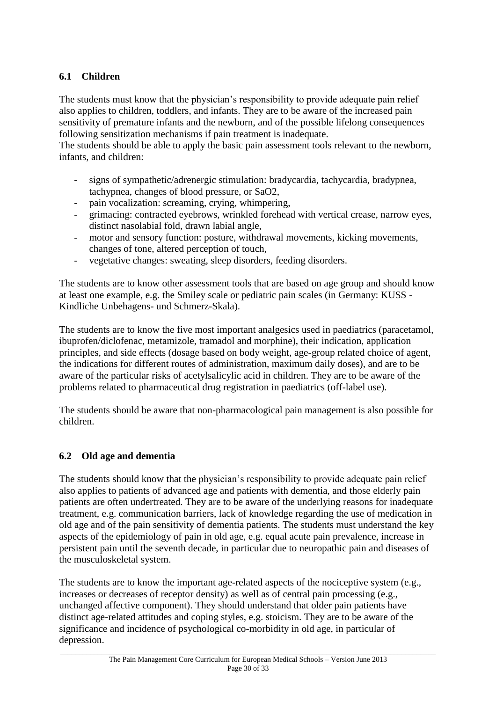## **6.1 Children**

The students must know that the physician's responsibility to provide adequate pain relief also applies to children, toddlers, and infants. They are to be aware of the increased pain sensitivity of premature infants and the newborn, and of the possible lifelong consequences following sensitization mechanisms if pain treatment is inadequate.

The students should be able to apply the basic pain assessment tools relevant to the newborn, infants, and children:

- signs of sympathetic/adrenergic stimulation: bradycardia, tachycardia, bradypnea, tachypnea, changes of blood pressure, or SaO2,
- pain vocalization: screaming, crying, whimpering,
- grimacing: contracted eyebrows, wrinkled forehead with vertical crease, narrow eyes, distinct nasolabial fold, drawn labial angle,
- motor and sensory function: posture, withdrawal movements, kicking movements, changes of tone, altered perception of touch,
- vegetative changes: sweating, sleep disorders, feeding disorders.

The students are to know other assessment tools that are based on age group and should know at least one example, e.g. the Smiley scale or pediatric pain scales (in Germany: KUSS - Kindliche Unbehagens- und Schmerz-Skala).

The students are to know the five most important analgesics used in paediatrics (paracetamol, ibuprofen/diclofenac, metamizole, tramadol and morphine), their indication, application principles, and side effects (dosage based on body weight, age-group related choice of agent, the indications for different routes of administration, maximum daily doses), and are to be aware of the particular risks of acetylsalicylic acid in children. They are to be aware of the problems related to pharmaceutical drug registration in paediatrics (off-label use).

The students should be aware that non-pharmacological pain management is also possible for children.

# **6.2 Old age and dementia**

The students should know that the physician's responsibility to provide adequate pain relief also applies to patients of advanced age and patients with dementia, and those elderly pain patients are often undertreated. They are to be aware of the underlying reasons for inadequate treatment, e.g. communication barriers, lack of knowledge regarding the use of medication in old age and of the pain sensitivity of dementia patients. The students must understand the key aspects of the epidemiology of pain in old age, e.g. equal acute pain prevalence, increase in persistent pain until the seventh decade, in particular due to neuropathic pain and diseases of the musculoskeletal system.

The students are to know the important age-related aspects of the nociceptive system (e.g., increases or decreases of receptor density) as well as of central pain processing (e.g., unchanged affective component). They should understand that older pain patients have distinct age-related attitudes and coping styles, e.g. stoicism. They are to be aware of the significance and incidence of psychological co-morbidity in old age, in particular of depression.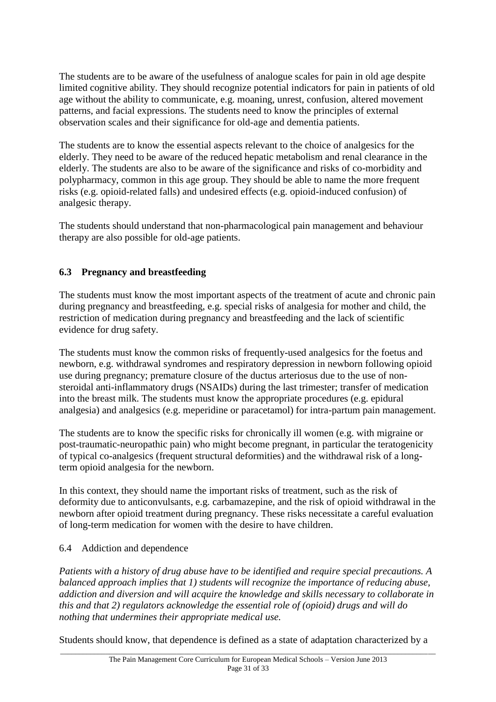The students are to be aware of the usefulness of analogue scales for pain in old age despite limited cognitive ability. They should recognize potential indicators for pain in patients of old age without the ability to communicate, e.g. moaning, unrest, confusion, altered movement patterns, and facial expressions. The students need to know the principles of external observation scales and their significance for old-age and dementia patients.

The students are to know the essential aspects relevant to the choice of analgesics for the elderly. They need to be aware of the reduced hepatic metabolism and renal clearance in the elderly. The students are also to be aware of the significance and risks of co-morbidity and polypharmacy, common in this age group. They should be able to name the more frequent risks (e.g. opioid-related falls) and undesired effects (e.g. opioid-induced confusion) of analgesic therapy.

The students should understand that non-pharmacological pain management and behaviour therapy are also possible for old-age patients.

# **6.3 Pregnancy and breastfeeding**

The students must know the most important aspects of the treatment of acute and chronic pain during pregnancy and breastfeeding, e.g. special risks of analgesia for mother and child, the restriction of medication during pregnancy and breastfeeding and the lack of scientific evidence for drug safety.

The students must know the common risks of frequently-used analgesics for the foetus and newborn, e.g. withdrawal syndromes and respiratory depression in newborn following opioid use during pregnancy; premature closure of the ductus arteriosus due to the use of nonsteroidal anti-inflammatory drugs (NSAIDs) during the last trimester; transfer of medication into the breast milk. The students must know the appropriate procedures (e.g. epidural analgesia) and analgesics (e.g. meperidine or paracetamol) for intra-partum pain management.

The students are to know the specific risks for chronically ill women (e.g. with migraine or post-traumatic-neuropathic pain) who might become pregnant, in particular the teratogenicity of typical co-analgesics (frequent structural deformities) and the withdrawal risk of a longterm opioid analgesia for the newborn.

In this context, they should name the important risks of treatment, such as the risk of deformity due to anticonvulsants, e.g. carbamazepine, and the risk of opioid withdrawal in the newborn after opioid treatment during pregnancy. These risks necessitate a careful evaluation of long-term medication for women with the desire to have children.

#### 6.4 Addiction and dependence

*Patients with a history of drug abuse have to be identified and require special precautions. A balanced approach implies that 1) students will recognize the importance of reducing abuse, addiction and diversion and will acquire the knowledge and skills necessary to collaborate in this and that 2) regulators acknowledge the essential role of (opioid) drugs and will do nothing that undermines their appropriate medical use.*

Students should know, that dependence is defined as a state of adaptation characterized by a